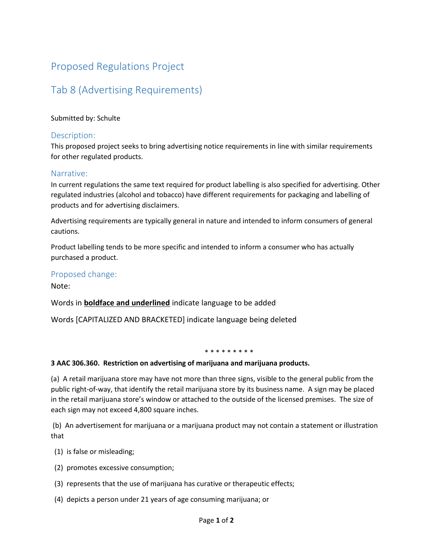# Proposed Regulations Project

# Tab 8 (Advertising Requirements)

#### Submitted by: Schulte

### Description:

This proposed project seeks to bring advertising notice requirements in line with similar requirements for other regulated products.

### Narrative:

In current regulations the same text required for product labelling is also specified for advertising. Other regulated industries (alcohol and tobacco) have different requirements for packaging and labelling of products and for advertising disclaimers.

Advertising requirements are typically general in nature and intended to inform consumers of general cautions.

Product labelling tends to be more specific and intended to inform a consumer who has actually purchased a product.

## Proposed change:

Note:

## Words in **boldface and underlined** indicate language to be added

Words [CAPITALIZED AND BRACKETED] indicate language being deleted

#### \* \* \* \* \* \* \* \* \*

#### **3 AAC 306.360. Restriction on advertising of marijuana and marijuana products.**

(a) A retail marijuana store may have not more than three signs, visible to the general public from the public right-of-way, that identify the retail marijuana store by its business name. A sign may be placed in the retail marijuana store's window or attached to the outside of the licensed premises. The size of each sign may not exceed 4,800 square inches.

(b) An advertisement for marijuana or a marijuana product may not contain a statement or illustration that

- (1) is false or misleading;
- (2) promotes excessive consumption;
- (3) represents that the use of marijuana has curative or therapeutic effects;
- (4) depicts a person under 21 years of age consuming marijuana; or